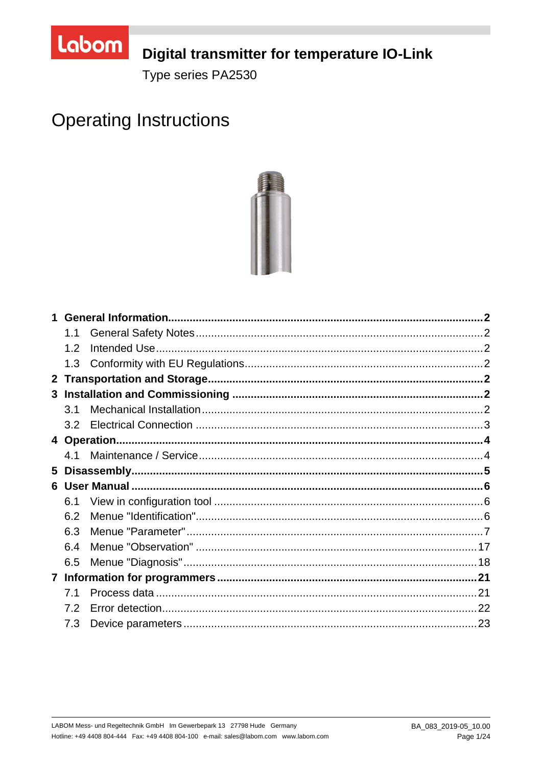

# Digital transmitter for temperature IO-Link

Type series PA2530

# **Operating Instructions**



|                | 1.1 |  |
|----------------|-----|--|
|                | 1.2 |  |
|                | 1.3 |  |
| 2 <sup>1</sup> |     |  |
|                |     |  |
|                | 3.1 |  |
|                | 3.2 |  |
|                |     |  |
|                | 4.1 |  |
| 5              |     |  |
|                |     |  |
|                | 6.1 |  |
|                | 6.2 |  |
|                | 6.3 |  |
|                | 6.4 |  |
|                | 6.5 |  |
|                |     |  |
|                | 7.1 |  |
|                | 7.2 |  |
|                | 7.3 |  |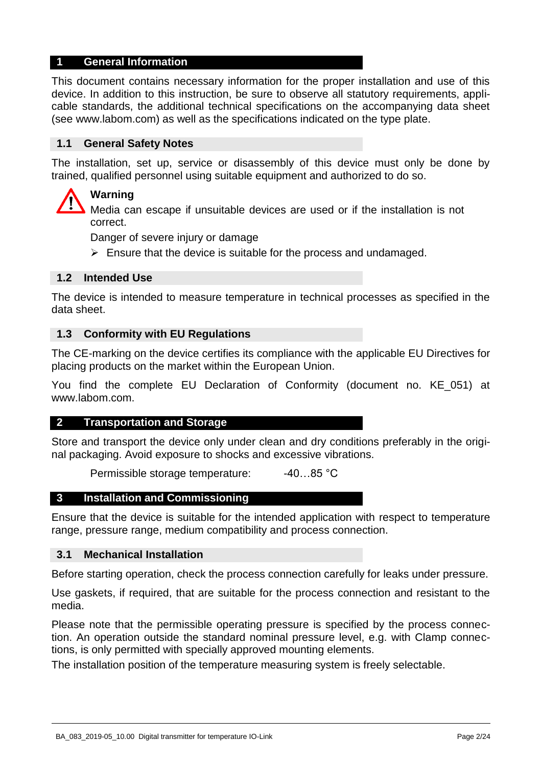## **1 General Information**

This document contains necessary information for the proper installation and use of this device. In addition to this instruction, be sure to observe all statutory requirements, applicable standards, the additional technical specifications on the accompanying data sheet (see www.labom.com) as well as the specifications indicated on the type plate.

#### **1.1 General Safety Notes**

The installation, set up, service or disassembly of this device must only be done by trained, qualified personnel using suitable equipment and authorized to do so.

# **Warning**

Media can escape if unsuitable devices are used or if the installation is not correct.

Danger of severe injury or damage

 $\triangleright$  Ensure that the device is suitable for the process and undamaged.

## **1.2 Intended Use**

The device is intended to measure temperature in technical processes as specified in the data sheet.

#### **1.3 Conformity with EU Regulations**

The CE-marking on the device certifies its compliance with the applicable EU Directives for placing products on the market within the European Union.

You find the complete EU Declaration of Conformity (document no. KE\_051) at www.labom.com.

#### **2 Transportation and Storage**

Store and transport the device only under clean and dry conditions preferably in the original packaging. Avoid exposure to shocks and excessive vibrations.

Permissible storage temperature: -40...85 °C

#### **3 Installation and Commissioning**

Ensure that the device is suitable for the intended application with respect to temperature range, pressure range, medium compatibility and process connection.

#### **3.1 Mechanical Installation**

Before starting operation, check the process connection carefully for leaks under pressure.

Use gaskets, if required, that are suitable for the process connection and resistant to the media.

Please note that the permissible operating pressure is specified by the process connection. An operation outside the standard nominal pressure level, e.g. with Clamp connections, is only permitted with specially approved mounting elements.

The installation position of the temperature measuring system is freely selectable.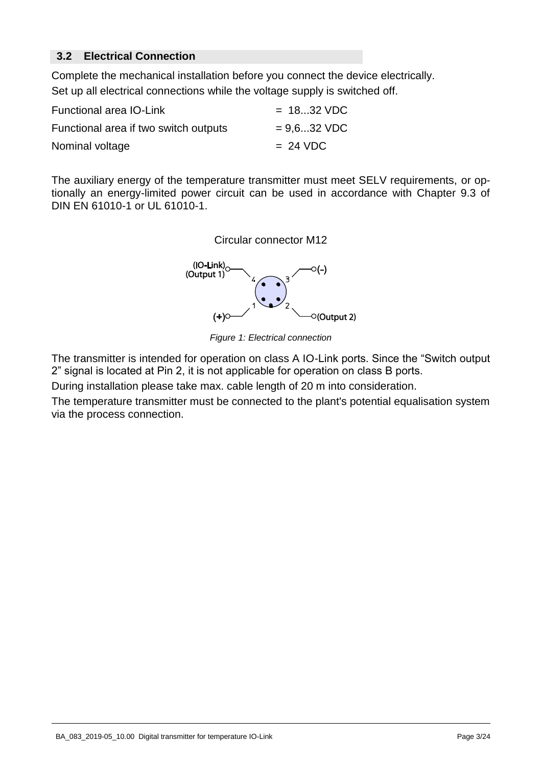# **3.2 Electrical Connection**

Complete the mechanical installation before you connect the device electrically. Set up all electrical connections while the voltage supply is switched off.

| Functional area IO-Link               | $= 1832 \text{ VDC}$ |
|---------------------------------------|----------------------|
| Functional area if two switch outputs | $= 9.6$ 32 VDC       |
| Nominal voltage                       | $= 24 \text{ VDC}$   |

The auxiliary energy of the temperature transmitter must meet SELV requirements, or optionally an energy-limited power circuit can be used in accordance with Chapter 9.3 of DIN EN 61010-1 or UL 61010-1.



*Figure 1: Electrical connection* 

The transmitter is intended for operation on class A IO-Link ports. Since the "Switch output 2" signal is located at Pin 2, it is not applicable for operation on class B ports.

During installation please take max. cable length of 20 m into consideration.

The temperature transmitter must be connected to the plant's potential equalisation system via the process connection.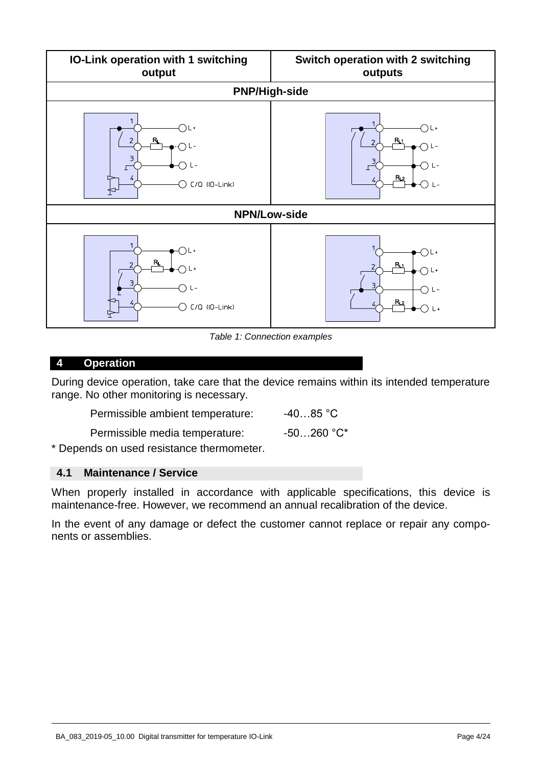

*Table 1: Connection examples* 

#### <span id="page-3-0"></span>**4 Operation**

During device operation, take care that the device remains within its intended temperature range. No other monitoring is necessary.

Permissible ambient temperature: 40...85 °C Permissible media temperature: -50...260 °C\*

\* Depends on used resistance thermometer.

## **4.1 Maintenance / Service**

When properly installed in accordance with applicable specifications, this device is maintenance-free. However, we recommend an annual recalibration of the device.

In the event of any damage or defect the customer cannot replace or repair any components or assemblies.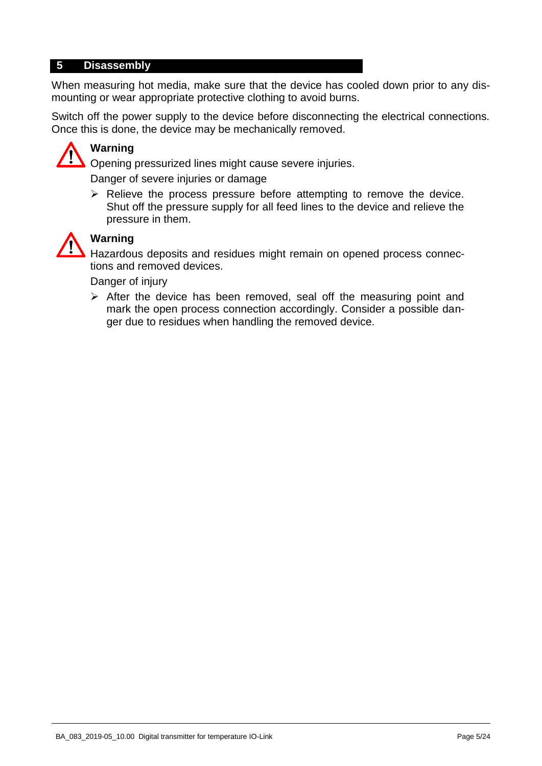## **5 Disassembly**

When measuring hot media, make sure that the device has cooled down prior to any dismounting or wear appropriate protective clothing to avoid burns.

Switch off the power supply to the device before disconnecting the electrical connections. Once this is done, the device may be mechanically removed.



# **Warning**

Opening pressurized lines might cause severe injuries.

Danger of severe injuries or damage

 $\triangleright$  Relieve the process pressure before attempting to remove the device. Shut off the pressure supply for all feed lines to the device and relieve the pressure in them.



# **Warning**

Hazardous deposits and residues might remain on opened process connections and removed devices.

Danger of injury

 $\triangleright$  After the device has been removed, seal off the measuring point and mark the open process connection accordingly. Consider a possible danger due to residues when handling the removed device.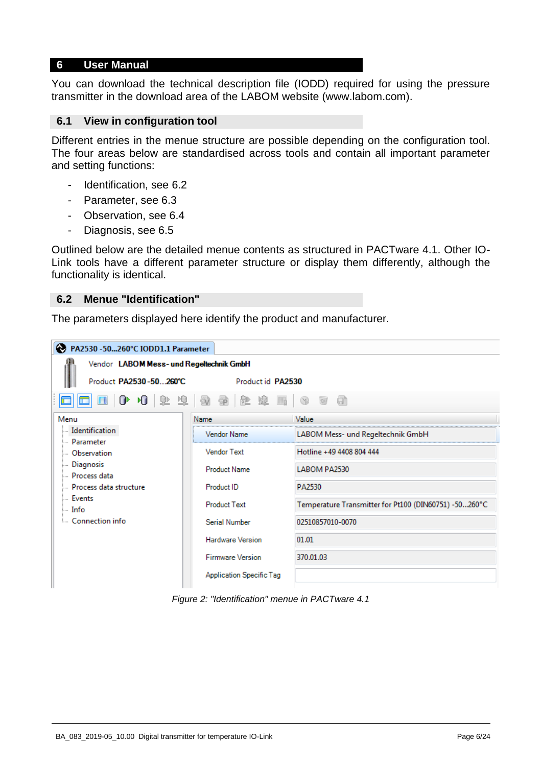#### **6 User Manual**

You can download the technical description file (IODD) required for using the pressure transmitter in the download area of the LABOM website (www.labom.com).

#### **6.1 View in configuration tool**

Different entries in the menue structure are possible depending on the configuration tool. The four areas below are standardised across tools and contain all important parameter and setting functions:

- Identification, see [6.2](#page-5-0)
- Parameter, see [6.3](#page-6-0)
- Observation, see [6.4](#page-16-0)
- Diagnosis, see [6.5](#page-17-0)

Outlined below are the detailed menue contents as structured in PACTware 4.1. Other IO-Link tools have a different parameter structure or display them differently, although the functionality is identical.

#### <span id="page-5-0"></span>**6.2 Menue "Identification"**

The parameters displayed here identify the product and manufacturer.

| PA2530 - 50260°C IODD1.1 Parameter       |                           |                                                       |  |  |  |  |  |
|------------------------------------------|---------------------------|-------------------------------------------------------|--|--|--|--|--|
| Vendor LABOM Mess- und Regeltechnik GmbH |                           |                                                       |  |  |  |  |  |
| Product PA2530-50260°C                   | Product id PA2530         |                                                       |  |  |  |  |  |
| $\blacksquare$<br>⋓                      | 10 年中 2 年 5 年 6 年 6 年 7 日 |                                                       |  |  |  |  |  |
| Menu                                     | Name                      | Value                                                 |  |  |  |  |  |
| - Identification                         | Vendor Name               | LABOM Mess- und Regeltechnik GmbH                     |  |  |  |  |  |
| <b>Parameter</b><br><b>Observation</b>   | <b>Vendor Text</b>        | Hotline +49 4408 804 444                              |  |  |  |  |  |
| <b>Diagnosis</b><br>- Process data       | <b>Product Name</b>       | LABOM PA2530                                          |  |  |  |  |  |
| Process data structure                   | Product ID                | PA2530                                                |  |  |  |  |  |
| <b>Events</b><br>$\mathbb{L}$ Info       | <b>Product Text</b>       | Temperature Transmitter for Pt100 (DIN60751) -50260°C |  |  |  |  |  |
| Connection info                          | Serial Number             | 02510857010-0070                                      |  |  |  |  |  |
|                                          | <b>Hardware Version</b>   | 01.01                                                 |  |  |  |  |  |
|                                          | <b>Firmware Version</b>   | 370.01.03                                             |  |  |  |  |  |
|                                          | Application Specific Tag  |                                                       |  |  |  |  |  |

*Figure 2: "Identification" menue in PACTware 4.1*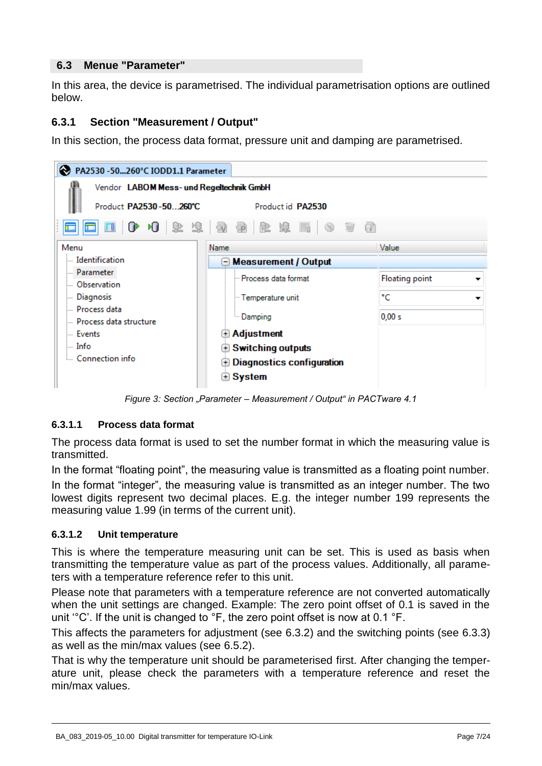# <span id="page-6-0"></span>**6.3 Menue "Parameter"**

In this area, the device is parametrised. The individual parametrisation options are outlined below.

# **6.3.1 Section "Measurement / Output"**

In this section, the process data format, pressure unit and damping are parametrised.

| PA2530 - 50260°C IODD1.1 Parameter       |                                                                                                                                   |                |  |  |  |  |
|------------------------------------------|-----------------------------------------------------------------------------------------------------------------------------------|----------------|--|--|--|--|
| Vendor LABOM Mess- und Regeltechnik GmbH |                                                                                                                                   |                |  |  |  |  |
| Product PA2530-50260°C                   | Product id PA2530                                                                                                                 |                |  |  |  |  |
| $\Box$ $\Box$                            | $\left \begin{array}{ccc c} 0 & 0 & 0 & 0 & 0 \end{array}\right $ , $\left \begin{array}{ccc c} 0 & 0 & 0 & 0 \end{array}\right $ |                |  |  |  |  |
| Menu                                     | Name                                                                                                                              | Value          |  |  |  |  |
| ldentification                           | ⊡ Measurement / Output                                                                                                            |                |  |  |  |  |
| Darameter                                | - Process data format                                                                                                             | Floating point |  |  |  |  |
| <b>Observation</b>                       |                                                                                                                                   |                |  |  |  |  |
| <b>Diagnosis</b>                         | - Temperature unit                                                                                                                | °C             |  |  |  |  |
| Process data                             | <b>Damping</b>                                                                                                                    | 0,00 s         |  |  |  |  |
| Process data structure                   |                                                                                                                                   |                |  |  |  |  |
| i Events                                 | $\color{black}\textcolor{black}{\textbf{A}}$ Adjustment                                                                           |                |  |  |  |  |
| ⊧… Info                                  | <b>E</b> Switching outputs                                                                                                        |                |  |  |  |  |
| Connection info                          | $\mathbf \oplus$ Diagnostics configuration                                                                                        |                |  |  |  |  |
|                                          | ⊕ System                                                                                                                          |                |  |  |  |  |
|                                          |                                                                                                                                   |                |  |  |  |  |

*Figure 3: Section "Parameter – Measurement / Output" in PACTware 4.1*

# <span id="page-6-2"></span>**6.3.1.1 Process data format**

The process data format is used to set the number format in which the measuring value is transmitted.

In the format "floating point", the measuring value is transmitted as a floating point number.

In the format "integer", the measuring value is transmitted as an integer number. The two lowest digits represent two decimal places. E.g. the integer number 199 represents the measuring value 1.99 (in terms of the current unit).

# <span id="page-6-1"></span>**6.3.1.2 Unit temperature**

This is where the temperature measuring unit can be set. This is used as basis when transmitting the temperature value as part of the process values. Additionally, all parameters with a temperature reference refer to this unit.

Please note that parameters with a temperature reference are not converted automatically when the unit settings are changed. Example: The zero point offset of 0.1 is saved in the unit '°C'. If the unit is changed to °F, the zero point offset is now at 0.1 °F.

This affects the parameters for adjustment (see [6.3.2\)](#page-8-0) and the switching points (see [6.3.3\)](#page-11-0) as well as the min/max values (see [6.5.2\)](#page-18-0).

That is why the temperature unit should be parameterised first. After changing the temperature unit, please check the parameters with a temperature reference and reset the min/max values.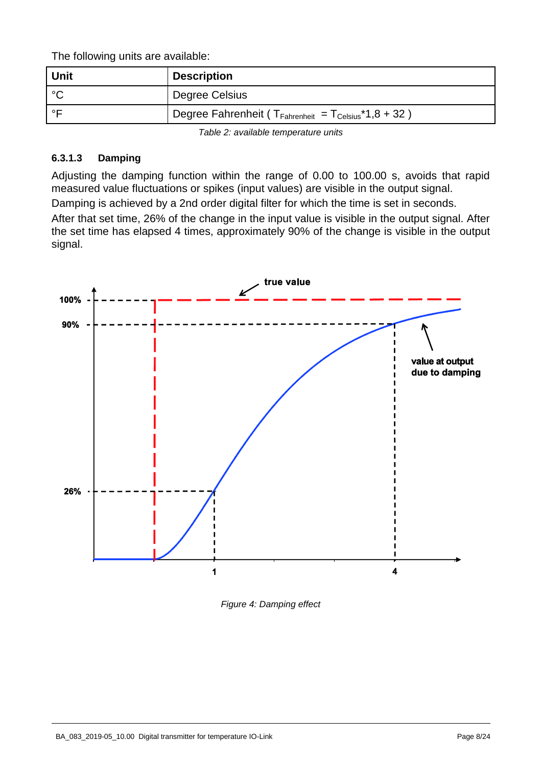The following units are available:

| Unit  | <b>Description</b>                                                            |
|-------|-------------------------------------------------------------------------------|
| ∣∘∩   | Degree Celsius                                                                |
| ⊸ ∘ ⊏ | Degree Fahrenheit ( $T_{\text{Fahrenheit}} = T_{\text{Celsius}} * 1,8 + 32$ ) |
|       |                                                                               |

*Table 2: available temperature units* 

# <span id="page-7-0"></span>**6.3.1.3 Damping**

Adjusting the damping function within the range of 0.00 to 100.00 s, avoids that rapid measured value fluctuations or spikes (input values) are visible in the output signal. Damping is achieved by a 2nd order digital filter for which the time is set in seconds. After that set time, 26% of the change in the input value is visible in the output signal. After the set time has elapsed 4 times, approximately 90% of the change is visible in the output signal.



*Figure 4: Damping effect*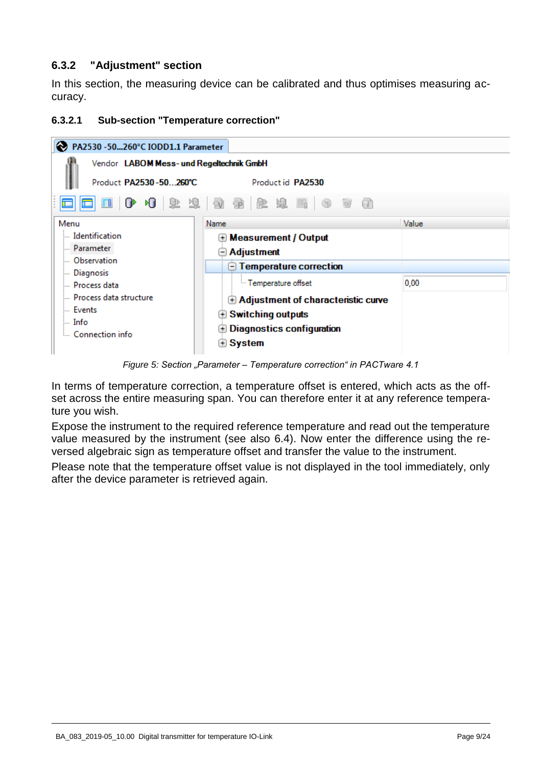# <span id="page-8-0"></span>**6.3.2 "Adjustment" section**

In this section, the measuring device can be calibrated and thus optimises measuring accuracy.

### <span id="page-8-1"></span>**6.3.2.1 Sub-section "Temperature correction"**



*Figure 5: Section "Parameter – Temperature correction" in PACTware 4.1*

In terms of temperature correction, a temperature offset is entered, which acts as the offset across the entire measuring span. You can therefore enter it at any reference temperature you wish.

Expose the instrument to the required reference temperature and read out the temperature value measured by the instrument (see also [6.4\)](#page-16-0). Now enter the difference using the reversed algebraic sign as temperature offset and transfer the value to the instrument.

Please note that the temperature offset value is not displayed in the tool immediately, only after the device parameter is retrieved again.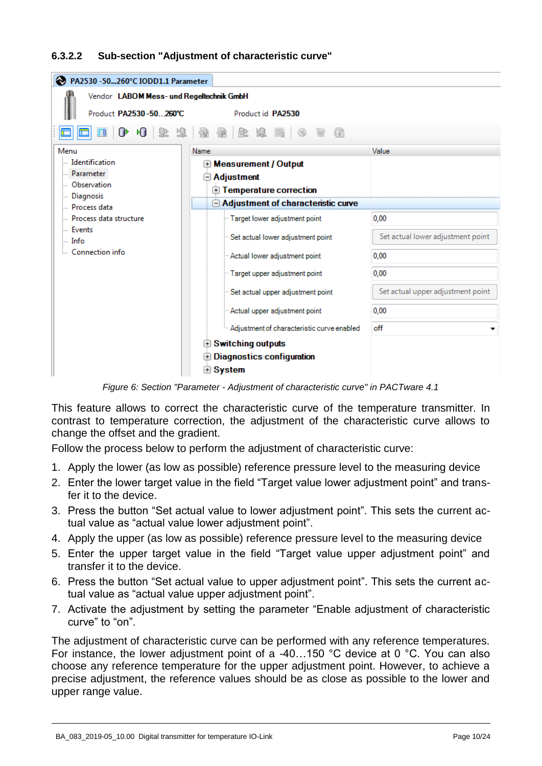#### <span id="page-9-0"></span>**6.3.2.2 Sub-section "Adjustment of characteristic curve"**

| PA2530 -50260°C IODD1.1 Parameter        |                                            |                                   |  |  |  |  |  |
|------------------------------------------|--------------------------------------------|-----------------------------------|--|--|--|--|--|
| Vendor LABOM Mess- und Regeltechnik GmbH |                                            |                                   |  |  |  |  |  |
| Product PA2530-50260°C                   | Product id PA2530                          |                                   |  |  |  |  |  |
| 0 10 12 13 9 2 2 2 5 1<br>a<br>(58)<br>Ħ |                                            |                                   |  |  |  |  |  |
| Menu                                     | Name                                       | Value                             |  |  |  |  |  |
| Identification                           | <b>Measurement / Output</b><br>$^{+}$      |                                   |  |  |  |  |  |
| <b>Parameter</b>                         | <b>Adjustment</b>                          |                                   |  |  |  |  |  |
| <b>Observation</b>                       | Temperature correction                     |                                   |  |  |  |  |  |
| <b>Diagnosis</b><br>Process data         | $\Box$ Adjustment of characteristic curve  |                                   |  |  |  |  |  |
| Process data structure                   | Target lower adjustment point              | 0.00                              |  |  |  |  |  |
| <b>Events</b><br>$\ln$ Info              | " Set actual lower adjustment point        | Set actual lower adjustment point |  |  |  |  |  |
| Connection info                          | " Actual lower adjustment point            | 0.00                              |  |  |  |  |  |
|                                          | Target upper adjustment point              | 0.00                              |  |  |  |  |  |
|                                          | " Set actual upper adjustment point        | Set actual upper adjustment point |  |  |  |  |  |
|                                          | Actual upper adjustment point              | 0,00                              |  |  |  |  |  |
|                                          | Adjustment of characteristic curve enabled | off                               |  |  |  |  |  |
| Switching outputs                        |                                            |                                   |  |  |  |  |  |
|                                          | <b>Diagnostics configuration</b><br>$^{+}$ |                                   |  |  |  |  |  |
|                                          | ⊕ System                                   |                                   |  |  |  |  |  |

*Figure 6: Section "Parameter - Adjustment of characteristic curve" in PACTware 4.1* 

This feature allows to correct the characteristic curve of the temperature transmitter. In contrast to temperature correction, the adjustment of the characteristic curve allows to change the offset and the gradient.

Follow the process below to perform the adjustment of characteristic curve:

- 1. Apply the lower (as low as possible) reference pressure level to the measuring device
- 2. Enter the lower target value in the field "Target value lower adjustment point" and transfer it to the device.
- 3. Press the button "Set actual value to lower adjustment point". This sets the current actual value as "actual value lower adjustment point".
- 4. Apply the upper (as low as possible) reference pressure level to the measuring device
- 5. Enter the upper target value in the field "Target value upper adjustment point" and transfer it to the device.
- 6. Press the button "Set actual value to upper adjustment point". This sets the current actual value as "actual value upper adjustment point".
- 7. Activate the adjustment by setting the parameter "Enable adjustment of characteristic curve" to "on".

The adjustment of characteristic curve can be performed with any reference temperatures. For instance, the lower adjustment point of a -40…150 °C device at 0 °C. You can also choose any reference temperature for the upper adjustment point. However, to achieve a precise adjustment, the reference values should be as close as possible to the lower and upper range value.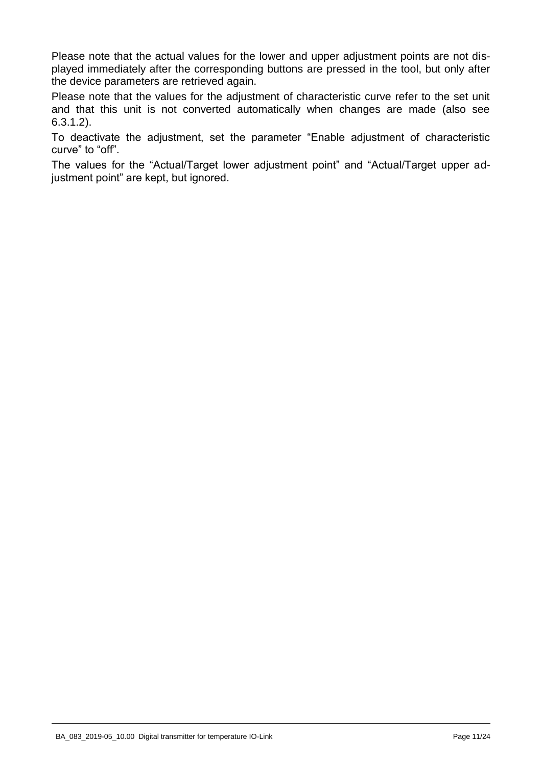Please note that the actual values for the lower and upper adjustment points are not displayed immediately after the corresponding buttons are pressed in the tool, but only after the device parameters are retrieved again.

Please note that the values for the adjustment of characteristic curve refer to the set unit and that this unit is not converted automatically when changes are made (also see [6.3.1.2\)](#page-6-1).

To deactivate the adjustment, set the parameter "Enable adjustment of characteristic curve" to "off".

The values for the "Actual/Target lower adjustment point" and "Actual/Target upper adjustment point" are kept, but ignored.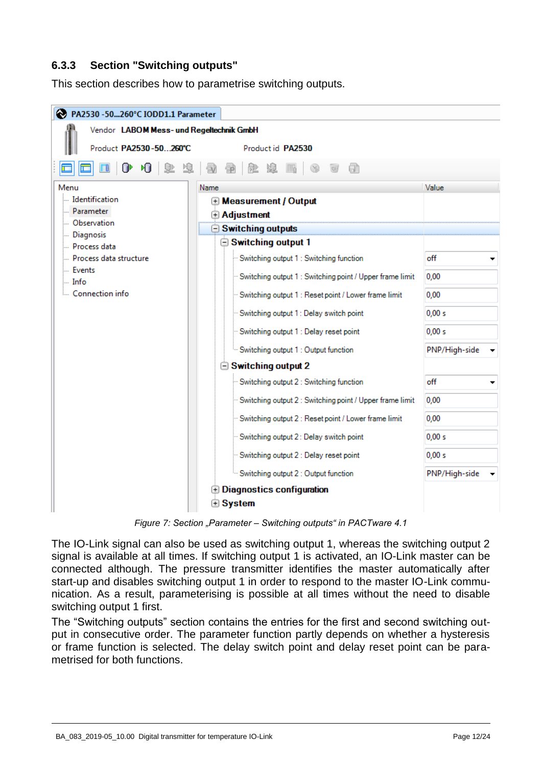# <span id="page-11-0"></span>**6.3.3 Section "Switching outputs"**

This section describes how to parametrise switching outputs.

| PA2530 -50260°C IODD1.1 Parameter        |                                                            |               |  |  |  |  |  |
|------------------------------------------|------------------------------------------------------------|---------------|--|--|--|--|--|
| Vendor LABOM Mess- und Regeltechnik GmbH |                                                            |               |  |  |  |  |  |
| Product PA2530-50260°C                   | Product id PA2530                                          |               |  |  |  |  |  |
| ⊪<br>ÞП<br>堕<br>⅏<br>$\mathcal{N}$<br>Ħ  |                                                            |               |  |  |  |  |  |
| Menu                                     | Name                                                       | Value         |  |  |  |  |  |
| Identification                           | <b>E</b> Measurement / Output                              |               |  |  |  |  |  |
| - Parameter<br>- Observation             | Adjustment                                                 |               |  |  |  |  |  |
| Diagnosis                                | $\ominus$ Switching outputs                                |               |  |  |  |  |  |
| - Process data                           | Switching output 1                                         |               |  |  |  |  |  |
| Process data structure                   | Switching output 1: Switching function                     | off           |  |  |  |  |  |
| Events<br>limfo i                        | "Switching output 1 : Switching point / Upper frame limit  | 0.00          |  |  |  |  |  |
| Connection info                          | Switching output 1 : Reset point / Lower frame limit       | 0,00          |  |  |  |  |  |
|                                          | Switching output 1: Delay switch point                     | 0.00 s        |  |  |  |  |  |
|                                          | Switching output 1 : Delay reset point                     | 0.00 s        |  |  |  |  |  |
|                                          | Switching output 1 : Output function                       | PNP/High-side |  |  |  |  |  |
|                                          | $\hat{=}$ Switching output 2                               |               |  |  |  |  |  |
|                                          | Switching output 2 : Switching function                    | off           |  |  |  |  |  |
|                                          | - Switching output 2 : Switching point / Upper frame limit | 0.00          |  |  |  |  |  |
|                                          | Switching output 2 : Reset point / Lower frame limit       | 0.00          |  |  |  |  |  |
|                                          | - Switching output 2 : Delay switch point                  | 0.00 s        |  |  |  |  |  |
|                                          | Switching output 2 : Delay reset point                     | 0.00 s        |  |  |  |  |  |
|                                          | Switching output 2 : Output function                       | PNP/High-side |  |  |  |  |  |
|                                          | <b><i>A Diagnostics configuration</i></b>                  |               |  |  |  |  |  |
|                                          | <b>⊕</b> System                                            |               |  |  |  |  |  |

*Figure 7: Section "Parameter – Switching outputs" in PACTware 4.1*

The IO-Link signal can also be used as switching output 1, whereas the switching output 2 signal is available at all times. If switching output 1 is activated, an IO-Link master can be connected although. The pressure transmitter identifies the master automatically after start-up and disables switching output 1 in order to respond to the master IO-Link communication. As a result, parameterising is possible at all times without the need to disable switching output 1 first.

The "Switching outputs" section contains the entries for the first and second switching output in consecutive order. The parameter function partly depends on whether a hysteresis or frame function is selected. The delay switch point and delay reset point can be parametrised for both functions.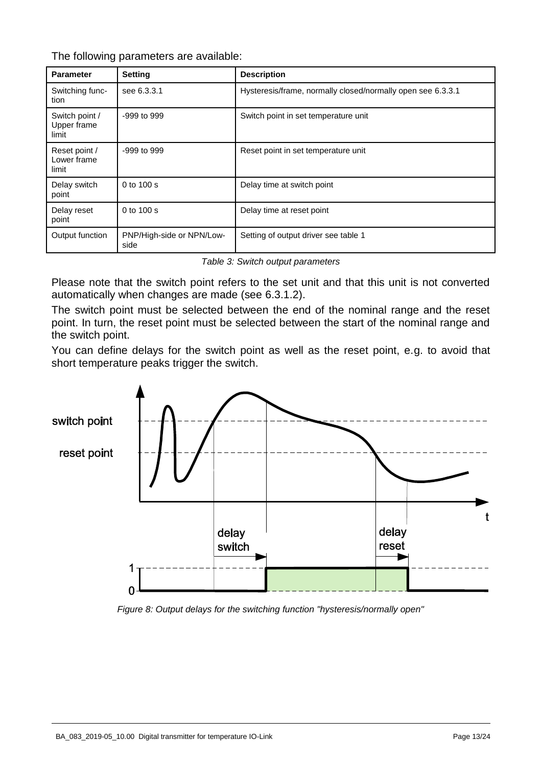The following parameters are available:

| <b>Parameter</b>                       | <b>Setting</b>                    | <b>Description</b>                                          |
|----------------------------------------|-----------------------------------|-------------------------------------------------------------|
| Switching func-<br>tion                | see 6.3.3.1                       | Hysteresis/frame, normally closed/normally open see 6.3.3.1 |
| Switch point /<br>Upper frame<br>limit | $-999$ to $999$                   | Switch point in set temperature unit                        |
| Reset point /<br>Lower frame<br>limit  | -999 to 999                       | Reset point in set temperature unit                         |
| Delay switch<br>point                  | $0$ to $100$ s                    | Delay time at switch point                                  |
| Delay reset<br>point                   | 0 to 100 s                        | Delay time at reset point                                   |
| Output function                        | PNP/High-side or NPN/Low-<br>side | Setting of output driver see table 1                        |

*Table 3: Switch output parameters* 

Please note that the switch point refers to the set unit and that this unit is not converted automatically when changes are made (see [6.3.1.2\)](#page-6-1).

The switch point must be selected between the end of the nominal range and the reset point. In turn, the reset point must be selected between the start of the nominal range and the switch point.

You can define delays for the switch point as well as the reset point, e.g. to avoid that short temperature peaks trigger the switch.



*Figure 8: Output delays for the switching function "hysteresis/normally open"*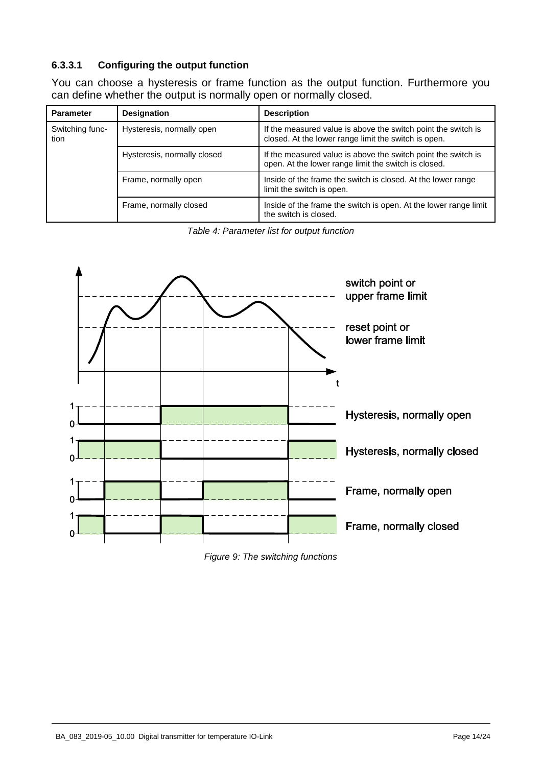## <span id="page-13-0"></span>**6.3.3.1 Configuring the output function**

You can choose a hysteresis or frame function as the output function. Furthermore you can define whether the output is normally open or normally closed.

| <b>Parameter</b>        | <b>Designation</b>          | <b>Description</b>                                                                                                    |  |  |
|-------------------------|-----------------------------|-----------------------------------------------------------------------------------------------------------------------|--|--|
| Switching func-<br>tion | Hysteresis, normally open   | If the measured value is above the switch point the switch is<br>closed. At the lower range limit the switch is open. |  |  |
|                         | Hysteresis, normally closed | If the measured value is above the switch point the switch is<br>open. At the lower range limit the switch is closed. |  |  |
|                         | Frame, normally open        | Inside of the frame the switch is closed. At the lower range<br>limit the switch is open.                             |  |  |
|                         | Frame, normally closed      | Inside of the frame the switch is open. At the lower range limit<br>the switch is closed.                             |  |  |

*Table 4: Parameter list for output function* 



*Figure 9: The switching functions*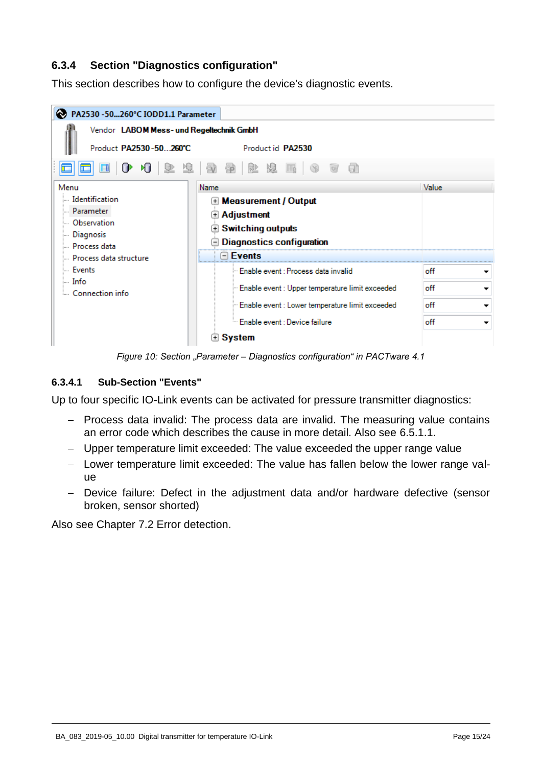# **6.3.4 Section "Diagnostics configuration"**

This section describes how to configure the device's diagnostic events.



*Figure 10: Section "Parameter – Diagnostics configuration" in PACTware 4.1*

### <span id="page-14-0"></span>**6.3.4.1 Sub-Section "Events"**

Up to four specific IO-Link events can be activated for pressure transmitter diagnostics:

- Process data invalid: The process data are invalid. The measuring value contains an error code which describes the cause in more detail. Also see [6.5.1.1.](#page-18-1)
- Upper temperature limit exceeded: The value exceeded the upper range value
- Lower temperature limit exceeded: The value has fallen below the lower range value
- Device failure: Defect in the adjustment data and/or hardware defective (sensor broken, sensor shorted)

Also see Chapter [7.2](#page-21-0) Error detection.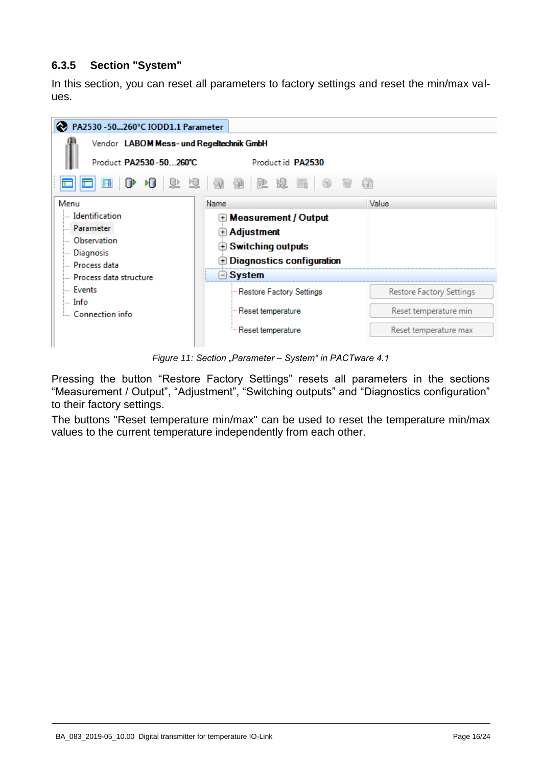# <span id="page-15-0"></span>**6.3.5 Section "System"**

In this section, you can reset all parameters to factory settings and reset the min/max values.



*Figure 11: Section "Parameter – System" in PACTware 4.1*

Pressing the button "Restore Factory Settings" resets all parameters in the sections "Measurement / Output", "Adjustment", "Switching outputs" and "Diagnostics configuration" to their factory settings.

The buttons "Reset temperature min/max" can be used to reset the temperature min/max values to the current temperature independently from each other.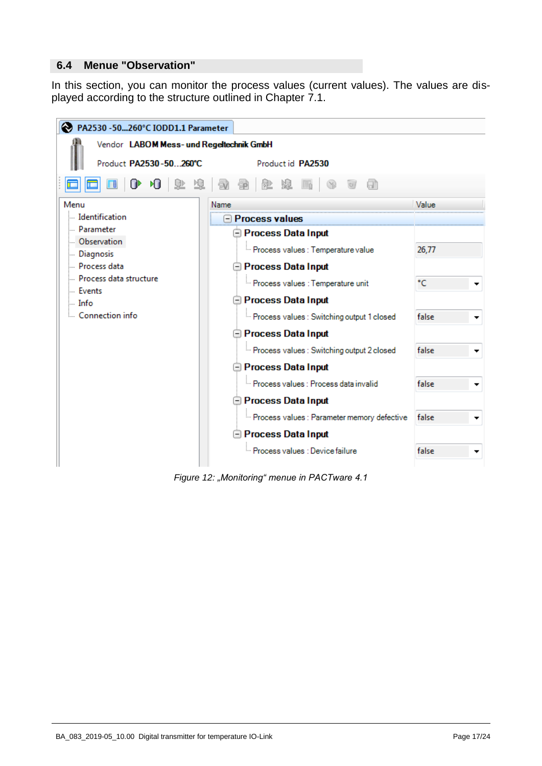## <span id="page-16-0"></span>**6.4 Menue "Observation"**

In this section, you can monitor the process values (current values). The values are displayed according to the structure outlined in Chapter [7.1.](#page-20-0)



*Figure 12: "Monitoring" menue in PACTware 4.1*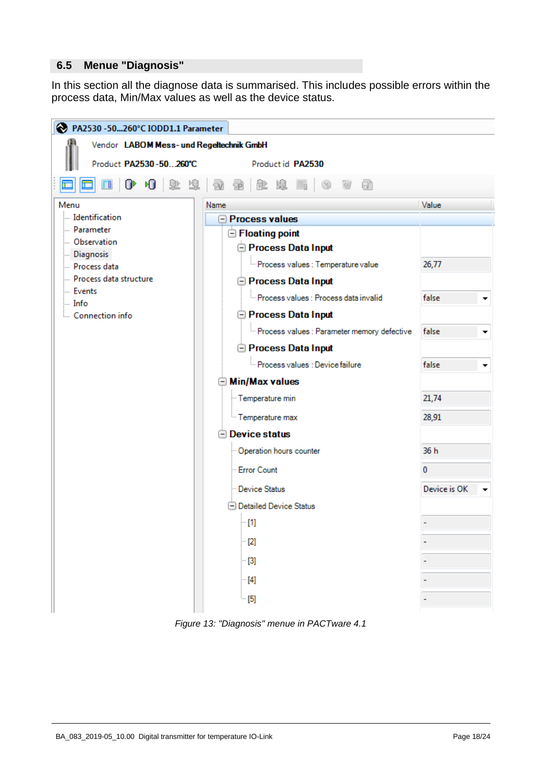## <span id="page-17-0"></span>**6.5 Menue "Diagnosis"**

In this section all the diagnose data is summarised. This includes possible errors within the process data, Min/Max values as well as the device status.



*Figure 13: "Diagnosis" menue in PACTware 4.1*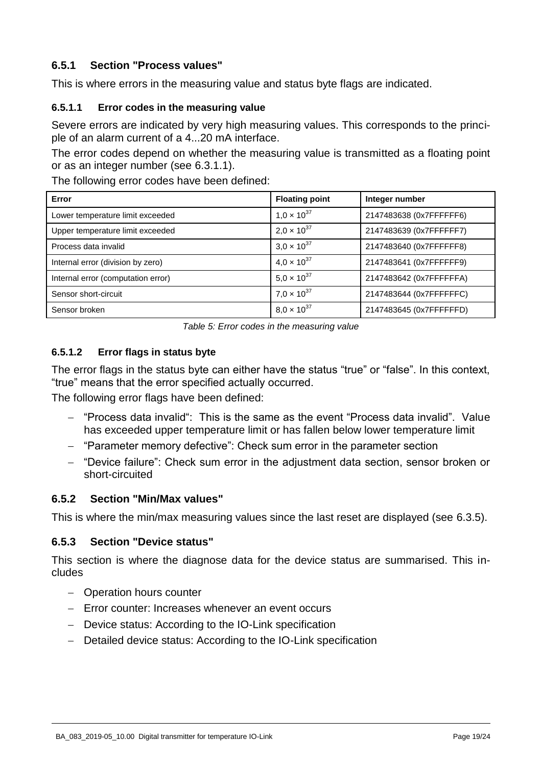# **6.5.1 Section "Process values"**

This is where errors in the measuring value and status byte flags are indicated.

## <span id="page-18-1"></span>**6.5.1.1 Error codes in the measuring value**

Severe errors are indicated by very high measuring values. This corresponds to the principle of an alarm current of a 4...20 mA interface.

The error codes depend on whether the measuring value is transmitted as a floating point or as an integer number (see [6.3.1.1\)](#page-6-2).

The following error codes have been defined:

| Error                              | <b>Floating point</b> | Integer number          |  |
|------------------------------------|-----------------------|-------------------------|--|
| Lower temperature limit exceeded   | $1.0 \times 10^{37}$  | 2147483638 (0x7FFFFFF6) |  |
| Upper temperature limit exceeded   | $2.0 \times 10^{37}$  | 2147483639 (0x7FFFFFF7) |  |
| Process data invalid               | $3.0 \times 10^{37}$  | 2147483640 (0x7FFFFFF8) |  |
| Internal error (division by zero)  | $4.0 \times 10^{37}$  | 2147483641 (0x7FFFFFF9) |  |
| Internal error (computation error) | $5.0 \times 10^{37}$  | 2147483642 (0x7FFFFFFA) |  |
| Sensor short-circuit               | $7.0 \times 10^{37}$  | 2147483644 (0x7FFFFFFC) |  |
| Sensor broken                      | $8.0 \times 10^{37}$  | 2147483645 (0x7FFFFFFD) |  |

*Table 5: Error codes in the measuring value* 

# <span id="page-18-2"></span>**6.5.1.2 Error flags in status byte**

The error flags in the status byte can either have the status "true" or "false". In this context, "true" means that the error specified actually occurred.

The following error flags have been defined:

- "Process data invalid": This is the same as the event "Process data invalid". Value has exceeded upper temperature limit or has fallen below lower temperature limit
- "Parameter memory defective": Check sum error in the parameter section
- "Device failure": Check sum error in the adjustment data section, sensor broken or short-circuited

## <span id="page-18-0"></span>**6.5.2 Section "Min/Max values"**

This is where the min/max measuring values since the last reset are displayed (see [6.3.5\)](#page-15-0).

## **6.5.3 Section "Device status"**

This section is where the diagnose data for the device status are summarised. This includes

- Operation hours counter
- $-$  Error counter: Increases whenever an event occurs
- Device status: According to the IO-Link specification
- Detailed device status: According to the IO-Link specification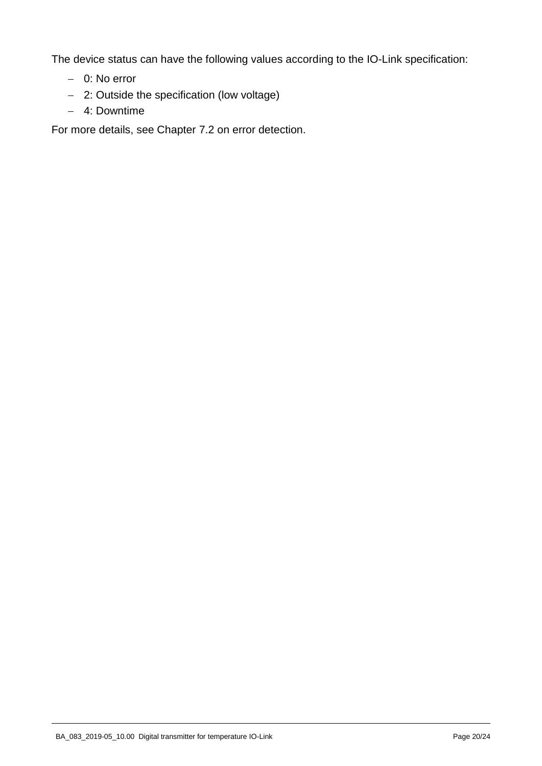The device status can have the following values according to the IO-Link specification:

- 0: No error
- 2: Outside the specification (low voltage)
- 4: Downtime

For more details, see Chapter [7.2](#page-21-0) on error detection.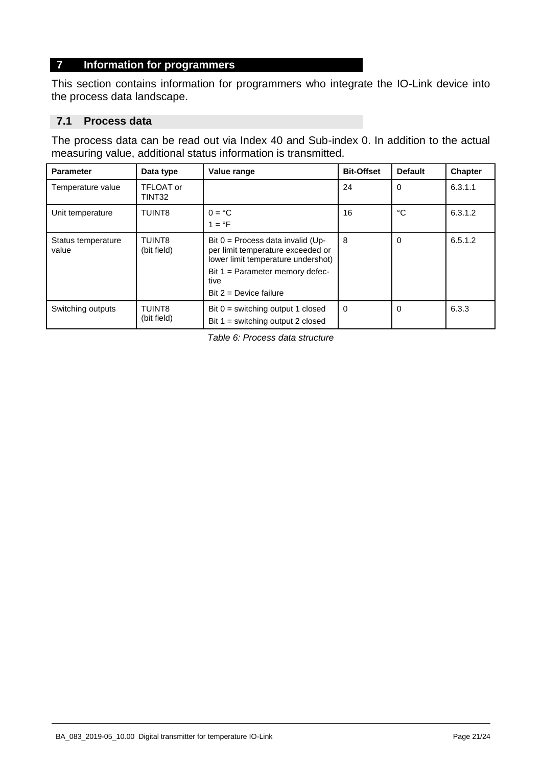# **7 Information for programmers**

This section contains information for programmers who integrate the IO-Link device into the process data landscape.

## <span id="page-20-0"></span>**7.1 Process data**

The process data can be read out via Index 40 and Sub-index 0. In addition to the actual measuring value, additional status information is transmitted.

| <b>Parameter</b>            | Data type                    | Value range                                                                                                                                                                             | <b>Bit-Offset</b> | <b>Default</b> | Chapter |
|-----------------------------|------------------------------|-----------------------------------------------------------------------------------------------------------------------------------------------------------------------------------------|-------------------|----------------|---------|
| Temperature value           | <b>TFLOAT or</b><br>TINT32   |                                                                                                                                                                                         | 24                | 0              | 6.3.1.1 |
| Unit temperature            | TUINT8                       | $0 = {}^{\circ}C$<br>$1 = \text{°F}$                                                                                                                                                    | 16                | °C             | 6.3.1.2 |
| Status temperature<br>value | <b>TUINT8</b><br>(bit field) | Bit $0 =$ Process data invalid (Up-<br>per limit temperature exceeded or<br>lower limit temperature undershot)<br>Bit $1 =$ Parameter memory defec-<br>tive<br>Bit $2 =$ Device failure | 8                 | $\Omega$       | 6.5.1.2 |
| Switching outputs           | <b>TUINT8</b><br>(bit field) | Bit $0 =$ switching output 1 closed<br>Bit $1 =$ switching output 2 closed                                                                                                              | $\Omega$          | $\Omega$       | 6.3.3   |

*Table 6: Process data structure*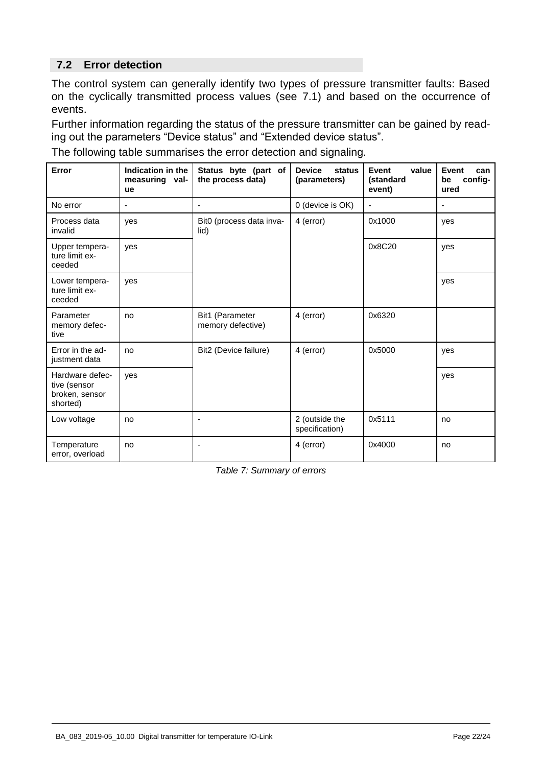# <span id="page-21-0"></span>**7.2 Error detection**

The control system can generally identify two types of pressure transmitter faults: Based on the cyclically transmitted process values (see [7.1\)](#page-20-0) and based on the occurrence of events.

Further information regarding the status of the pressure transmitter can be gained by reading out the parameters "Device status" and "Extended device status".

The following table summarises the error detection and signaling.

| Error                                                         | Indication in the<br>measuring val-<br>ue | Status byte (part of<br>the process data) | <b>Device</b><br>status<br>(parameters) | Event<br>value<br>(standard<br>event) | <b>Event</b><br>can<br>config-<br>be<br>ured |
|---------------------------------------------------------------|-------------------------------------------|-------------------------------------------|-----------------------------------------|---------------------------------------|----------------------------------------------|
| No error                                                      |                                           | $\blacksquare$                            | 0 (device is OK)                        | $\sim$                                | ٠                                            |
| Process data<br>invalid                                       | ves                                       | Bit0 (process data inva-<br>lid)          | 4 (error)                               | 0x1000                                | yes                                          |
| Upper tempera-<br>ture limit ex-<br>ceeded                    | ves                                       |                                           |                                         | 0x8C20                                | yes                                          |
| Lower tempera-<br>ture limit ex-<br>ceeded                    | ves                                       |                                           |                                         |                                       | yes                                          |
| Parameter<br>memory defec-<br>tive                            | no                                        | Bit1 (Parameter<br>memory defective)      | 4 (error)                               | 0x6320                                |                                              |
| Error in the ad-<br>justment data                             | no                                        | Bit2 (Device failure)                     | 4 (error)                               | 0x5000                                | yes                                          |
| Hardware defec-<br>tive (sensor<br>broken, sensor<br>shorted) | ves                                       |                                           |                                         |                                       | yes                                          |
| Low voltage                                                   | no                                        | $\overline{\phantom{a}}$                  | 2 (outside the<br>specification)        | 0x5111                                | no                                           |
| Temperature<br>error, overload                                | no                                        | $\overline{\phantom{a}}$                  | 4 (error)                               | 0x4000                                | no                                           |

*Table 7: Summary of errors*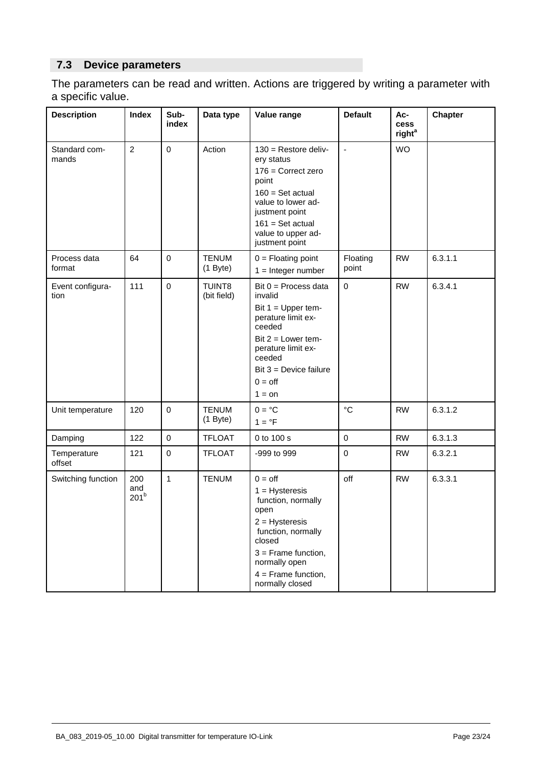# **7.3 Device parameters**

The parameters can be read and written. Actions are triggered by writing a parameter with a specific value.

| <b>Description</b>       | <b>Index</b>                   | Sub-<br>index | Data type                  | Value range                                                                                                                                                                                                   | <b>Default</b>    | Ac-<br><b>cess</b><br>right <sup>a</sup> | <b>Chapter</b> |
|--------------------------|--------------------------------|---------------|----------------------------|---------------------------------------------------------------------------------------------------------------------------------------------------------------------------------------------------------------|-------------------|------------------------------------------|----------------|
| Standard com-<br>mands   | $\overline{2}$                 | $\mathbf 0$   | Action                     | $130$ = Restore deliv-<br>ery status<br>$176$ = Correct zero<br>point<br>$160 = Set actual$<br>value to lower ad-<br>justment point<br>$161 = Set actual$<br>value to upper ad-<br>justment point             | $\blacksquare$    | <b>WO</b>                                |                |
| Process data<br>format   | 64                             | $\pmb{0}$     | <b>TENUM</b><br>$(1$ Byte) | $0 =$ Floating point<br>$1 =$ Integer number                                                                                                                                                                  | Floating<br>point | <b>RW</b>                                | 6.3.1.1        |
| Event configura-<br>tion | 111                            | $\mathbf 0$   | TUINT8<br>(bit field)      | Bit $0 =$ Process data<br>invalid<br>Bit $1 = Upper$ tem-<br>perature limit ex-<br>ceeded<br>Bit $2 =$ Lower tem-<br>perature limit ex-<br>ceeded<br>Bit $3 =$ Device failure<br>$0 = \text{off}$<br>$1 = on$ | $\pmb{0}$         | <b>RW</b>                                | 6.3.4.1        |
| Unit temperature         | 120                            | $\pmb{0}$     | <b>TENUM</b><br>$(1$ Byte) | $0 = \degree C$<br>$1 = \degree F$                                                                                                                                                                            | $\rm ^{\circ}C$   | <b>RW</b>                                | 6.3.1.2        |
| Damping                  | 122                            | $\pmb{0}$     | <b>TFLOAT</b>              | 0 to 100 s                                                                                                                                                                                                    | $\pmb{0}$         | <b>RW</b>                                | 6.3.1.3        |
| Temperature<br>offset    | 121                            | $\pmb{0}$     | <b>TFLOAT</b>              | -999 to 999                                                                                                                                                                                                   | $\pmb{0}$         | <b>RW</b>                                | 6.3.2.1        |
| Switching function       | 200<br>and<br>201 <sup>b</sup> | $\mathbf{1}$  | <b>TENUM</b>               | $0 = \text{off}$<br>$1 = Hysteresis$<br>function, normally<br>open<br>$2 = Hysteresis$<br>function, normally<br>closed<br>$3 =$ Frame function,<br>normally open<br>$4 =$ Frame function,<br>normally closed  | off               | <b>RW</b>                                | 6.3.3.1        |